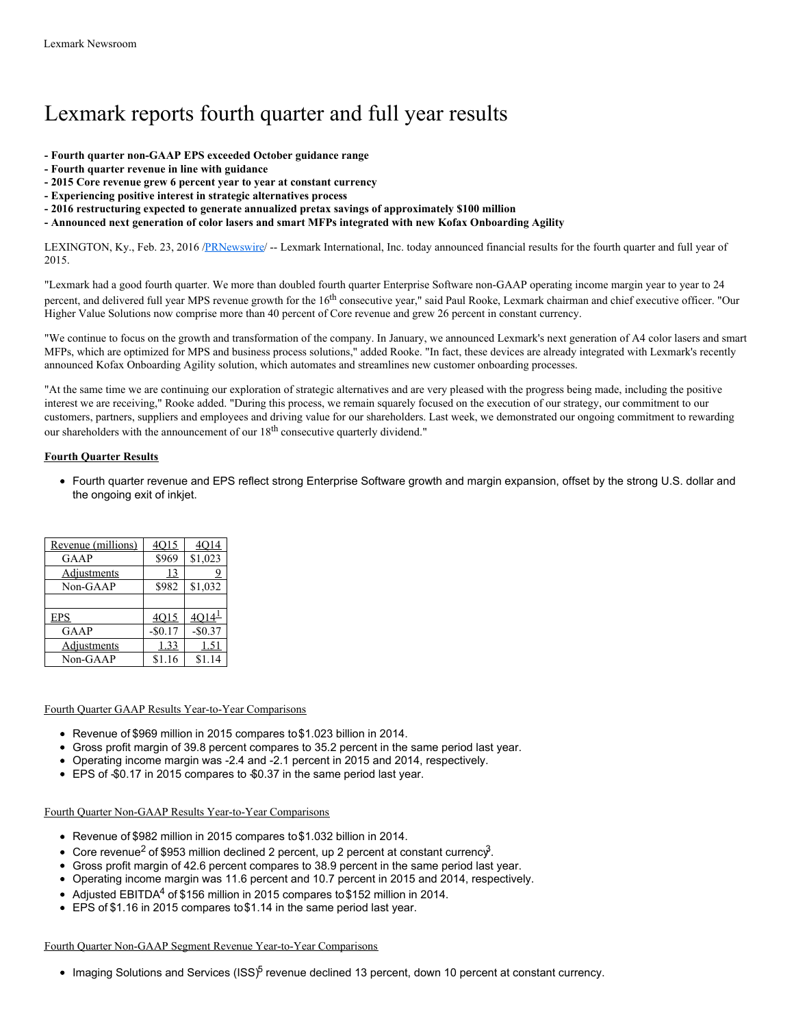# Lexmark reports fourth quarter and full year results

- **- Fourth quarter non-GAAP EPS exceeded October guidance range**
- **- Fourth quarter revenue in line with guidance**
- **- 2015 Core revenue grew 6 percent year to year at constant currency**
- **- Experiencing positive interest in strategic alternatives process**
- **- 2016 restructuring expected to generate annualized pretax savings of approximately \$100 million**
- **- Announced next generation of color lasers and smart MFPs integrated with new Kofax Onboarding Agility**

LEXINGTON, Ky., Feb. 23, 2016 [/PRNewswire](http://www.prnewswire.com/)/ -- Lexmark International, Inc. today announced financial results for the fourth quarter and full year of 2015.

"Lexmark had a good fourth quarter. We more than doubled fourth quarter Enterprise Software non-GAAP operating income margin year to year to 24 percent, and delivered full year MPS revenue growth for the 16<sup>th</sup> consecutive year," said Paul Rooke, Lexmark chairman and chief executive officer. "Our Higher Value Solutions now comprise more than 40 percent of Core revenue and grew 26 percent in constant currency.

"We continue to focus on the growth and transformation of the company. In January, we announced Lexmark's next generation of A4 color lasers and smart MFPs, which are optimized for MPS and business process solutions," added Rooke. "In fact, these devices are already integrated with Lexmark's recently announced Kofax Onboarding Agility solution, which automates and streamlines new customer onboarding processes.

"At the same time we are continuing our exploration of strategic alternatives and are very pleased with the progress being made, including the positive interest we are receiving," Rooke added. "During this process, we remain squarely focused on the execution of our strategy, our commitment to our customers, partners, suppliers and employees and driving value for our shareholders. Last week, we demonstrated our ongoing commitment to rewarding our shareholders with the announcement of our  $18<sup>th</sup>$  consecutive quarterly dividend."

# **Fourth Quarter Results**

Fourth quarter revenue and EPS reflect strong Enterprise Software growth and margin expansion, offset by the strong U.S. dollar and the ongoing exit of inkjet.

| Revenue (millions) | 4015     | 4014           |
|--------------------|----------|----------------|
| <b>GAAP</b>        | \$969    | \$1,023        |
| Adjustments        | 13       | 9              |
| Non-GAAP           | \$982    | \$1,032        |
|                    |          |                |
| <b>EPS</b>         | 4Q15     | $4014^{\circ}$ |
| <b>GAAP</b>        | $-$0.17$ | $-$0.37$       |
| Adjustments        | 1.33     | 1.51           |
| Non-GAAP           | \$1.16   | \$1.14         |

Fourth Quarter GAAP Results Year-to-Year Comparisons

- Revenue of \$969 million in 2015 compares to\$1.023 billion in 2014.
- Gross profit margin of 39.8 percent compares to 35.2 percent in the same period last year.
- Operating income margin was -2.4 and -2.1 percent in 2015 and 2014, respectively.
- EPS of -\$0.17 in 2015 compares to -\$0.37 in the same period last year.

# Fourth Quarter Non-GAAP Results Year-to-Year Comparisons

- Revenue of \$982 million in 2015 compares to\$1.032 billion in 2014.
- Core revenue<sup>2</sup> of \$953 million declined 2 percent, up 2 percent at constant currency<sup>3</sup>.
- Gross profit margin of 42.6 percent compares to 38.9 percent in the same period last year.
- Operating income margin was 11.6 percent and 10.7 percent in 2015 and 2014, respectively.
- Adjusted EBITDA<sup>4</sup> of \$156 million in 2015 compares to \$152 million in 2014.
- EPS of \$1.16 in 2015 compares to\$1.14 in the same period last year.

# Fourth Quarter Non-GAAP Segment Revenue Year-to-Year Comparisons

Imaging Solutions and Services (ISS)<sup>5</sup> revenue declined 13 percent, down 10 percent at constant currency.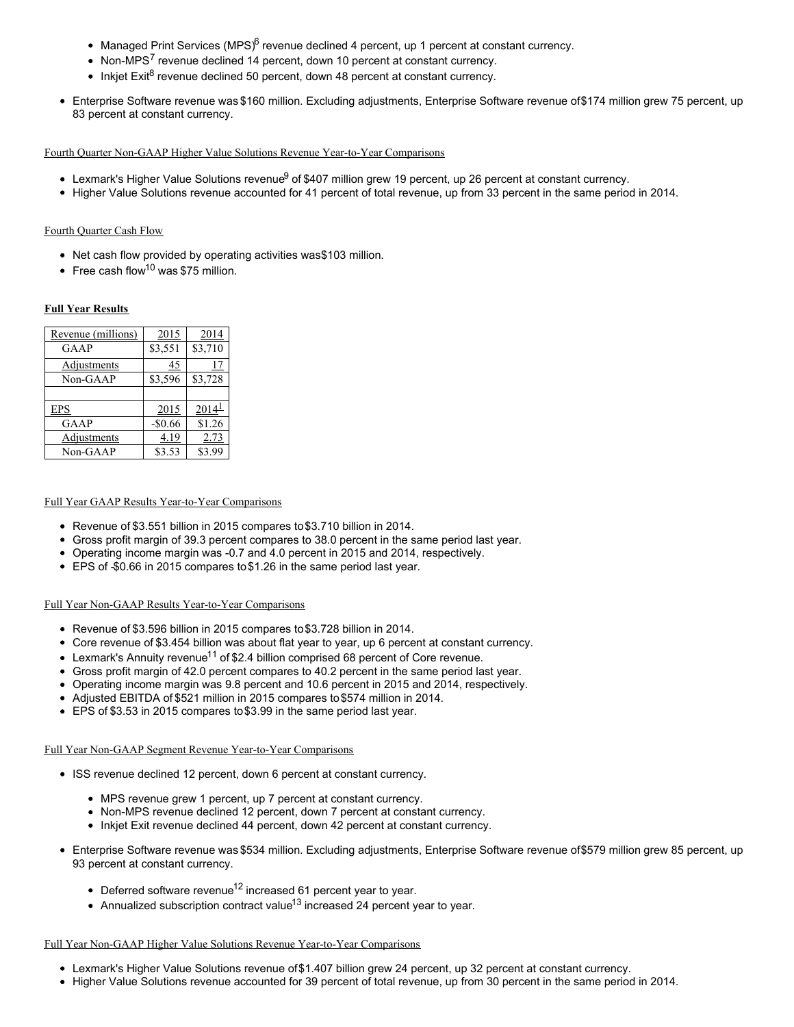- Managed Print Services (MPS)<sup>6</sup> revenue declined 4 percent, up 1 percent at constant currency.
- Non-MPS<sup>7</sup> revenue declined 14 percent, down 10 percent at constant currency.
- Inkjet Exit<sup>8</sup> revenue declined 50 percent, down 48 percent at constant currency.
- Enterprise Software revenue was \$160 million. Excluding adjustments, Enterprise Software revenue of\$174 million grew 75 percent, up 83 percent at constant currency.

# Fourth Quarter Non-GAAP Higher Value Solutions Revenue Year-to-Year Comparisons

- Lexmark's Higher Value Solutions revenue<sup>9</sup> of \$407 million grew 19 percent, up 26 percent at constant currency.
- Higher Value Solutions revenue accounted for 41 percent of total revenue, up from 33 percent in the same period in 2014.

# Fourth Quarter Cash Flow

- Net cash flow provided by operating activities was\$103 million.
- Free cash flow<sup>10</sup> was \$75 million.

# **Full Year Results**

| Revenue (millions) | 2015     | 2014              |
|--------------------|----------|-------------------|
| GAAP               | \$3,551  | \$3,710           |
| Adjustments        | 45       |                   |
| Non-GAAP           | \$3,596  | \$3,728           |
|                    |          |                   |
| <b>EPS</b>         | 2015     | 2014 <sup>1</sup> |
| <b>GAAP</b>        | $-$0.66$ | \$1.26            |
| Adjustments        | 4.19     | 2.73              |
| Non-GAAP           | \$3.53   | \$3.99            |

# Full Year GAAP Results Year-to-Year Comparisons

- Revenue of \$3.551 billion in 2015 compares to\$3.710 billion in 2014.
- Gross profit margin of 39.3 percent compares to 38.0 percent in the same period last year.
- Operating income margin was -0.7 and 4.0 percent in 2015 and 2014, respectively.
- EPS of -\$0.66 in 2015 compares to\$1.26 in the same period last year.

# Full Year Non-GAAP Results Year-to-Year Comparisons

- Revenue of \$3.596 billion in 2015 compares to\$3.728 billion in 2014.
- Core revenue of \$3.454 billion was about flat year to year, up 6 percent at constant currency.
- Lexmark's Annuity revenue<sup>11</sup> of \$2.4 billion comprised 68 percent of Core revenue.
- Gross profit margin of 42.0 percent compares to 40.2 percent in the same period last year.
- Operating income margin was 9.8 percent and 10.6 percent in 2015 and 2014, respectively.
- Adjusted EBITDA of \$521 million in 2015 compares to\$574 million in 2014.
- EPS of \$3.53 in 2015 compares to\$3.99 in the same period last year.

# Full Year Non-GAAP Segment Revenue Year-to-Year Comparisons

- ISS revenue declined 12 percent, down 6 percent at constant currency.
	- MPS revenue grew 1 percent, up 7 percent at constant currency.
	- Non-MPS revenue declined 12 percent, down 7 percent at constant currency.
	- Inkjet Exit revenue declined 44 percent, down 42 percent at constant currency.
- Enterprise Software revenue was \$534 million. Excluding adjustments, Enterprise Software revenue of\$579 million grew 85 percent, up 93 percent at constant currency.
	- Deferred software revenue<sup>12</sup> increased 61 percent year to year.
	- Annualized subscription contract value<sup>13</sup> increased 24 percent year to year.

# Full Year Non-GAAP Higher Value Solutions Revenue Year-to-Year Comparisons

- Lexmark's Higher Value Solutions revenue of\$1.407 billion grew 24 percent, up 32 percent at constant currency.
- Higher Value Solutions revenue accounted for 39 percent of total revenue, up from 30 percent in the same period in 2014.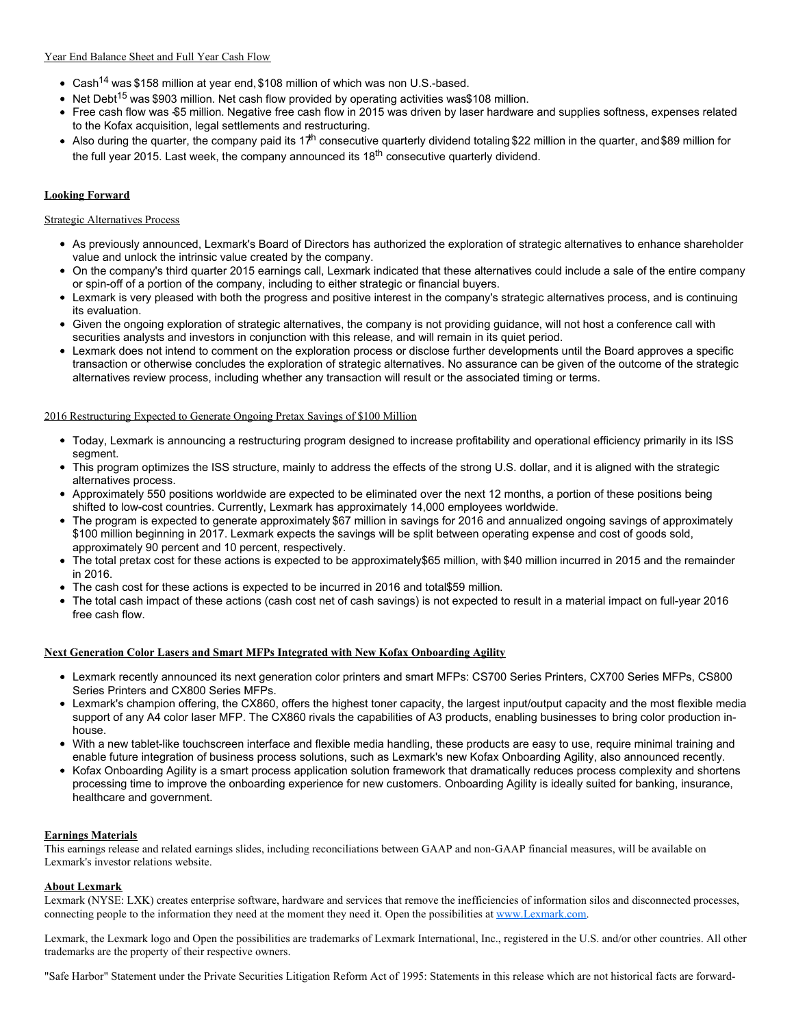# Year End Balance Sheet and Full Year Cash Flow

- Cash<sup>14</sup> was \$158 million at year end, \$108 million of which was non U.S.-based.
- Net Debt<sup>15</sup> was \$903 million. Net cash flow provided by operating activities was \$108 million.
- Free cash flow was \$5 million. Negative free cash flow in 2015 was driven by laser hardware and supplies softness, expenses related to the Kofax acquisition, legal settlements and restructuring.
- Also during the quarter, the company paid its 1<sup> $\#$ h</sup> consecutive quarterly dividend totaling \$22 million in the quarter, and \$89 million for the full year 2015. Last week, the company announced its 18<sup>th</sup> consecutive quarterly dividend.

# **Looking Forward**

# Strategic Alternatives Process

- As previously announced, Lexmark's Board of Directors has authorized the exploration of strategic alternatives to enhance shareholder value and unlock the intrinsic value created by the company.
- On the company's third quarter 2015 earnings call, Lexmark indicated that these alternatives could include a sale of the entire company or spin-off of a portion of the company, including to either strategic or financial buyers.
- Lexmark is very pleased with both the progress and positive interest in the company's strategic alternatives process, and is continuing its evaluation.
- Given the ongoing exploration of strategic alternatives, the company is not providing guidance, will not host a conference call with securities analysts and investors in conjunction with this release, and will remain in its quiet period.
- Lexmark does not intend to comment on the exploration process or disclose further developments until the Board approves a specific transaction or otherwise concludes the exploration of strategic alternatives. No assurance can be given of the outcome of the strategic alternatives review process, including whether any transaction will result or the associated timing or terms.

## 2016 Restructuring Expected to Generate Ongoing Pretax Savings of \$100 Million

- Today, Lexmark is announcing a restructuring program designed to increase profitability and operational efficiency primarily in its ISS segment.
- This program optimizes the ISS structure, mainly to address the effects of the strong U.S. dollar, and it is aligned with the strategic alternatives process.
- Approximately 550 positions worldwide are expected to be eliminated over the next 12 months, a portion of these positions being shifted to low-cost countries. Currently, Lexmark has approximately 14,000 employees worldwide.
- The program is expected to generate approximately \$67 million in savings for 2016 and annualized ongoing savings of approximately \$100 million beginning in 2017. Lexmark expects the savings will be split between operating expense and cost of goods sold, approximately 90 percent and 10 percent, respectively.
- The total pretax cost for these actions is expected to be approximately\$65 million, with \$40 million incurred in 2015 and the remainder in 2016.
- The cash cost for these actions is expected to be incurred in 2016 and total\$59 million.
- The total cash impact of these actions (cash cost net of cash savings) is not expected to result in a material impact on full-year 2016 free cash flow.

# **Next Generation Color Lasers and Smart MFPs Integrated with New Kofax Onboarding Agility**

- Lexmark recently announced its next generation color printers and smart MFPs: CS700 Series Printers, CX700 Series MFPs, CS800 Series Printers and CX800 Series MFPs.
- Lexmark's champion offering, the CX860, offers the highest toner capacity, the largest input/output capacity and the most flexible media support of any A4 color laser MFP. The CX860 rivals the capabilities of A3 products, enabling businesses to bring color production inhouse.
- With a new tablet-like touchscreen interface and flexible media handling, these products are easy to use, require minimal training and enable future integration of business process solutions, such as Lexmark's new Kofax Onboarding Agility, also announced recently.
- Kofax Onboarding Agility is a smart process application solution framework that dramatically reduces process complexity and shortens processing time to improve the onboarding experience for new customers. Onboarding Agility is ideally suited for banking, insurance, healthcare and government.

# **Earnings Materials**

This earnings release and related earnings slides, including reconciliations between GAAP and non-GAAP financial measures, will be available on Lexmark's investor relations website.

# **About Lexmark**

Lexmark (NYSE: LXK) creates enterprise software, hardware and services that remove the inefficiencies of information silos and disconnected processes, connecting people to the information they need at the moment they need it. Open the possibilities at [www.Lexmark.com](http://www.lexmark.com/).

Lexmark, the Lexmark logo and Open the possibilities are trademarks of Lexmark International, Inc., registered in the U.S. and/or other countries. All other trademarks are the property of their respective owners.

"Safe Harbor" Statement under the Private Securities Litigation Reform Act of 1995: Statements in this release which are not historical facts are forward-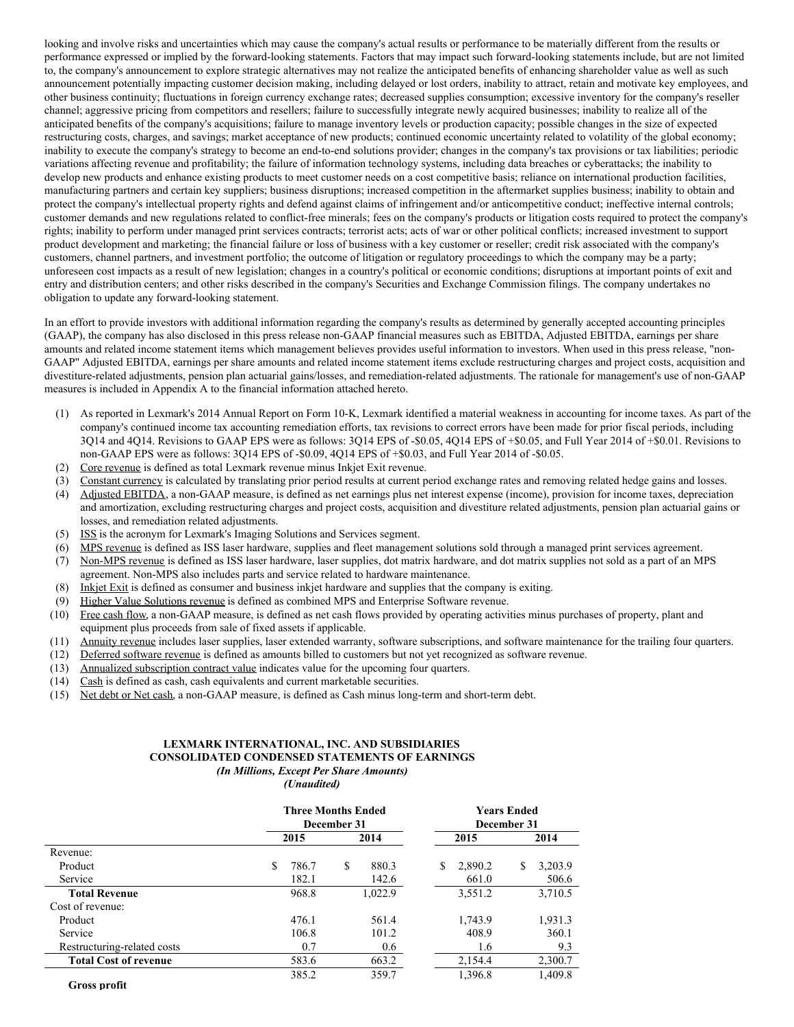looking and involve risks and uncertainties which may cause the company's actual results or performance to be materially different from the results or performance expressed or implied by the forward-looking statements. Factors that may impact such forward-looking statements include, but are not limited to, the company's announcement to explore strategic alternatives may not realize the anticipated benefits of enhancing shareholder value as well as such announcement potentially impacting customer decision making, including delayed or lost orders, inability to attract, retain and motivate key employees, and other business continuity; fluctuations in foreign currency exchange rates; decreased supplies consumption; excessive inventory for the company's reseller channel; aggressive pricing from competitors and resellers; failure to successfully integrate newly acquired businesses; inability to realize all of the anticipated benefits of the company's acquisitions; failure to manage inventory levels or production capacity; possible changes in the size of expected restructuring costs, charges, and savings; market acceptance of new products; continued economic uncertainty related to volatility of the global economy; inability to execute the company's strategy to become an end-to-end solutions provider; changes in the company's tax provisions or tax liabilities; periodic variations affecting revenue and profitability; the failure of information technology systems, including data breaches or cyberattacks; the inability to develop new products and enhance existing products to meet customer needs on a cost competitive basis; reliance on international production facilities, manufacturing partners and certain key suppliers; business disruptions; increased competition in the aftermarket supplies business; inability to obtain and protect the company's intellectual property rights and defend against claims of infringement and/or anticompetitive conduct; ineffective internal controls; customer demands and new regulations related to conflict-free minerals; fees on the company's products or litigation costs required to protect the company's rights; inability to perform under managed print services contracts; terrorist acts; acts of war or other political conflicts; increased investment to support product development and marketing; the financial failure or loss of business with a key customer or reseller; credit risk associated with the company's customers, channel partners, and investment portfolio; the outcome of litigation or regulatory proceedings to which the company may be a party; unforeseen cost impacts as a result of new legislation; changes in a country's political or economic conditions; disruptions at important points of exit and entry and distribution centers; and other risks described in the company's Securities and Exchange Commission filings. The company undertakes no obligation to update any forward-looking statement.

In an effort to provide investors with additional information regarding the company's results as determined by generally accepted accounting principles (GAAP), the company has also disclosed in this press release non-GAAP financial measures such as EBITDA, Adjusted EBITDA, earnings per share amounts and related income statement items which management believes provides useful information to investors. When used in this press release, "non-GAAP" Adjusted EBITDA, earnings per share amounts and related income statement items exclude restructuring charges and project costs, acquisition and divestiture-related adjustments, pension plan actuarial gains/losses, and remediation-related adjustments. The rationale for management's use of non-GAAP measures is included in Appendix A to the financial information attached hereto.

- (1) As reported in Lexmark's 2014 Annual Report on Form 10-K, Lexmark identified a material weakness in accounting for income taxes. As part of the company's continued income tax accounting remediation efforts, tax revisions to correct errors have been made for prior fiscal periods, including 3Q14 and 4Q14. Revisions to GAAP EPS were as follows: 3Q14 EPS of -\$0.05, 4Q14 EPS of +\$0.05, and Full Year 2014 of +\$0.01. Revisions to non-GAAP EPS were as follows: 3Q14 EPS of -\$0.09, 4Q14 EPS of +\$0.03, and Full Year 2014 of -\$0.05.
- (2) Core revenue is defined as total Lexmark revenue minus Inkjet Exit revenue.
- (3) Constant currency is calculated by translating prior period results at current period exchange rates and removing related hedge gains and losses.
- (4) Adjusted EBITDA, a non-GAAP measure, is defined as net earnings plus net interest expense (income), provision for income taxes, depreciation and amortization, excluding restructuring charges and project costs, acquisition and divestiture related adjustments, pension plan actuarial gains or losses, and remediation related adjustments.
- (5) ISS is the acronym for Lexmark's Imaging Solutions and Services segment.
- (6) MPS revenue is defined as ISS laser hardware, supplies and fleet management solutions sold through a managed print services agreement.
- (7) Non-MPS revenue is defined as ISS laser hardware, laser supplies, dot matrix hardware, and dot matrix supplies not sold as a part of an MPS agreement. Non-MPS also includes parts and service related to hardware maintenance.
- (8) Inkjet Exit is defined as consumer and business inkjet hardware and supplies that the company is exiting.
- (9) Higher Value Solutions revenue is defined as combined MPS and Enterprise Software revenue.
- (10) Free cash flow, a non-GAAP measure, is defined as net cash flows provided by operating activities minus purchases of property, plant and equipment plus proceeds from sale of fixed assets if applicable.
- (11) Annuity revenue includes laser supplies, laser extended warranty, software subscriptions, and software maintenance for the trailing four quarters.
- (12) Deferred software revenue is defined as amounts billed to customers but not yet recognized as software revenue.
- (13) Annualized subscription contract value indicates value for the upcoming four quarters.
- (14) Cash is defined as cash, cash equivalents and current marketable securities.
- (15) Net debt or Net cash, a non-GAAP measure, is defined as Cash minus long-term and short-term debt.

# **LEXMARK INTERNATIONAL, INC. AND SUBSIDIARIES CONSOLIDATED CONDENSED STATEMENTS OF EARNINGS** *(In Millions, Except Per Share Amounts)*

*(Unaudited)*

|                              |             | <b>Three Months Ended</b><br>December 31 |               | <b>Years Ended</b><br>December 31 |
|------------------------------|-------------|------------------------------------------|---------------|-----------------------------------|
|                              | 2015        | 2014                                     | 2015          | 2014                              |
| Revenue:                     |             |                                          |               |                                   |
| Product                      | \$<br>786.7 | \$<br>880.3                              | 2,890.2<br>\$ | 3,203.9<br>S                      |
| Service                      | 182.1       | 142.6                                    | 661.0         | 506.6                             |
| <b>Total Revenue</b>         | 968.8       | 1,022.9                                  | 3,551.2       | 3,710.5                           |
| Cost of revenue:             |             |                                          |               |                                   |
| Product                      | 476.1       | 561.4                                    | 1,743.9       | 1,931.3                           |
| Service                      | 106.8       | 101.2                                    | 408.9         | 360.1                             |
| Restructuring-related costs  | 0.7         | 0.6                                      | 1.6           | 9.3                               |
| <b>Total Cost of revenue</b> | 583.6       | 663.2                                    | 2,154.4       | 2,300.7                           |
|                              | 385.2       | 359.7                                    | 1.396.8       | 1.409.8                           |

**Gross profit**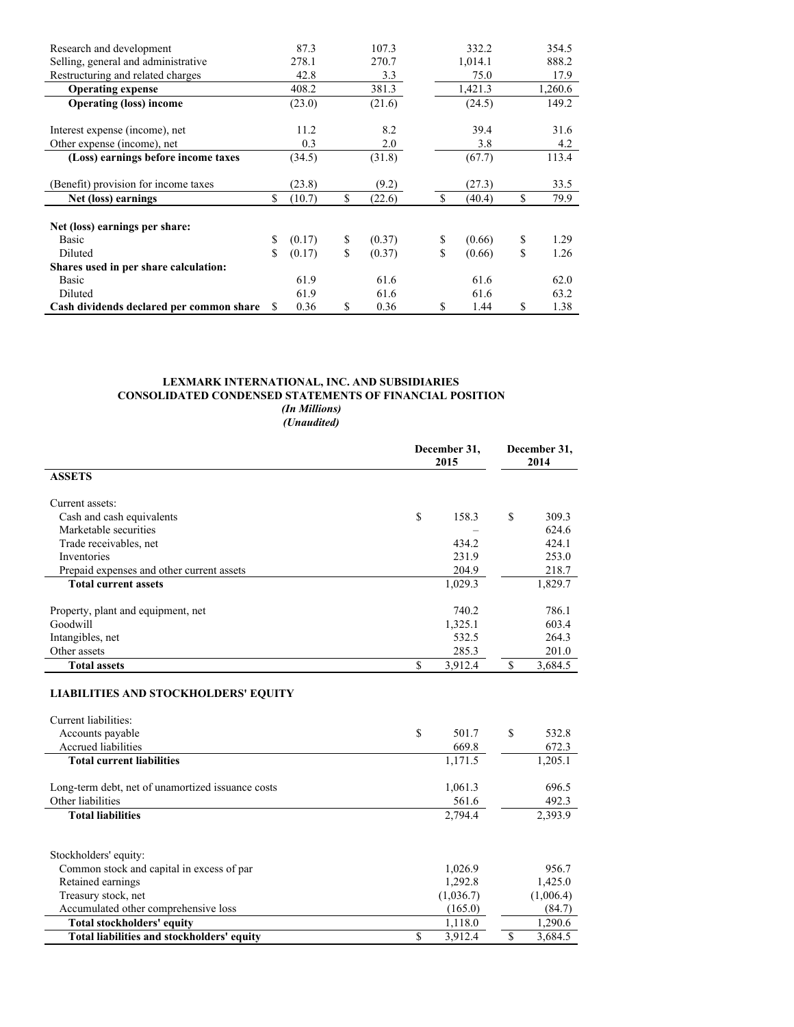| Research and development                 |     | 87.3   | 107.3        |    | 332.2   |    | 354.5   |
|------------------------------------------|-----|--------|--------------|----|---------|----|---------|
| Selling, general and administrative      |     | 278.1  | 270.7        |    | 1,014.1 |    | 888.2   |
| Restructuring and related charges        |     | 42.8   | 3.3          |    | 75.0    |    | 17.9    |
| <b>Operating expense</b>                 |     | 408.2  | 381.3        |    | 1,421.3 |    | 1,260.6 |
| <b>Operating (loss) income</b>           |     | (23.0) | (21.6)       |    | (24.5)  |    | 149.2   |
| Interest expense (income), net           |     | 11.2   | 8.2          |    | 39.4    |    | 31.6    |
| Other expense (income), net              |     | 0.3    | 2.0          |    | 3.8     |    | 4.2     |
| (Loss) earnings before income taxes      |     | (34.5) | (31.8)       |    | (67.7)  |    | 113.4   |
| (Benefit) provision for income taxes     |     | (23.8) | (9.2)        |    | (27.3)  |    | 33.5    |
| Net (loss) earnings                      | \$  | (10.7) | \$<br>(22.6) | \$ | (40.4)  | \$ | 79.9    |
| Net (loss) earnings per share:           |     |        |              |    |         |    |         |
| Basic                                    | \$  | (0.17) | \$<br>(0.37) | \$ | (0.66)  | \$ | 1.29    |
| Diluted                                  | \$  | (0.17) | \$<br>(0.37) | \$ | (0.66)  | \$ | 1.26    |
| Shares used in per share calculation:    |     |        |              |    |         |    |         |
| Basic                                    |     | 61.9   | 61.6         |    | 61.6    |    | 62.0    |
| Diluted                                  |     | 61.9   | 61.6         |    | 61.6    |    | 63.2    |
| Cash dividends declared per common share | \$. | 0.36   | \$<br>0.36   | \$ | 1.44    | S  | 1.38    |

## **LEXMARK INTERNATIONAL, INC. AND SUBSIDIARIES CONSOLIDATED CONDENSED STATEMENTS OF FINANCIAL POSITION** *(In Millions)*

*(Unaudited)*

|                                                                                         | December 31, | December 31,<br>2014 |               |           |
|-----------------------------------------------------------------------------------------|--------------|----------------------|---------------|-----------|
| <b>ASSETS</b>                                                                           |              |                      |               |           |
| Current assets:                                                                         |              |                      |               |           |
| Cash and cash equivalents                                                               | \$           | 158.3                | \$            | 309.3     |
| Marketable securities                                                                   |              |                      |               | 624.6     |
| Trade receivables, net                                                                  |              | 434.2                |               | 424.1     |
| Inventories                                                                             |              | 231.9                |               | 253.0     |
| Prepaid expenses and other current assets                                               |              | 204.9                |               | 218.7     |
| <b>Total current assets</b>                                                             |              | 1,029.3              |               | 1,829.7   |
| Property, plant and equipment, net                                                      |              | 740.2                |               | 786.1     |
| Goodwill                                                                                |              | 1,325.1              |               | 603.4     |
| Intangibles, net                                                                        |              | 532.5                |               | 264.3     |
| Other assets                                                                            |              | 285.3                |               | 201.0     |
| <b>Total assets</b>                                                                     | \$           | 3,912.4              | \$            | 3,684.5   |
| <b>LIABILITIES AND STOCKHOLDERS' EQUITY</b><br>Current liabilities:<br>Accounts payable | \$           | 501.7                | \$            | 532.8     |
| Accrued liabilities                                                                     |              | 669.8                |               | 672.3     |
| <b>Total current liabilities</b>                                                        |              | 1,171.5              |               | 1,205.1   |
| Long-term debt, net of unamortized issuance costs                                       |              | 1,061.3              |               | 696.5     |
| Other liabilities                                                                       |              | 561.6                |               | 492.3     |
| <b>Total liabilities</b>                                                                |              | 2,794.4              |               | 2,393.9   |
| Stockholders' equity:                                                                   |              |                      |               |           |
| Common stock and capital in excess of par                                               |              | 1,026.9              |               | 956.7     |
| Retained earnings                                                                       |              | 1,292.8              |               | 1,425.0   |
| Treasury stock, net                                                                     |              | (1,036.7)            |               | (1,006.4) |
| Accumulated other comprehensive loss                                                    |              | (165.0)              |               | (84.7)    |
| Total stockholders' equity                                                              |              | 1,118.0              |               | 1,290.6   |
| Total liabilities and stockholders' equity                                              | \$           | 3.912.4              | <sup>\$</sup> | 3.684.5   |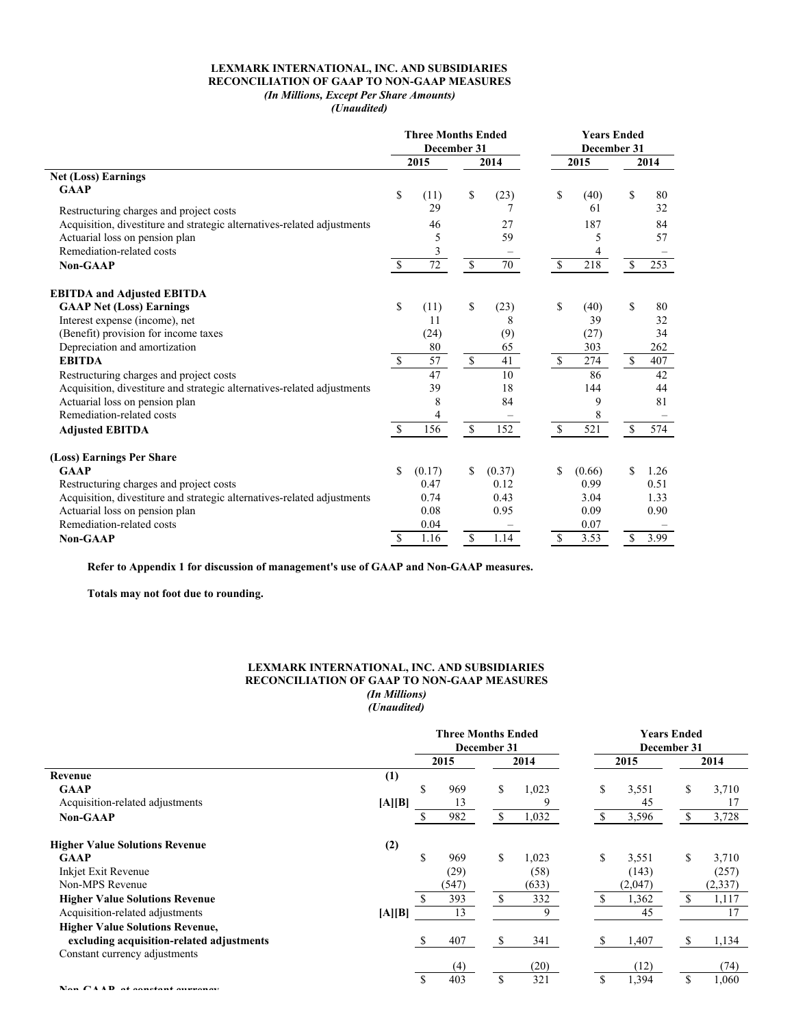# **LEXMARK INTERNATIONAL, INC. AND SUBSIDIARIES RECONCILIATION OF GAAP TO NON-GAAP MEASURES** *(In Millions, Except Per Share Amounts)*

*(Unaudited)*

|                                                                         | <b>Three Months Ended</b> |             |              |        | <b>Years Ended</b> |             |               |      |  |  |
|-------------------------------------------------------------------------|---------------------------|-------------|--------------|--------|--------------------|-------------|---------------|------|--|--|
|                                                                         |                           | December 31 |              |        |                    | December 31 |               |      |  |  |
|                                                                         |                           | 2015        |              | 2014   |                    | 2015        |               | 2014 |  |  |
| <b>Net (Loss) Earnings</b>                                              |                           |             |              |        |                    |             |               |      |  |  |
| <b>GAAP</b>                                                             | \$                        | (11)        | \$           | (23)   | \$                 | (40)        | \$            | 80   |  |  |
| Restructuring charges and project costs                                 |                           | 29          |              | 7      |                    | 61          |               | 32   |  |  |
| Acquisition, divestiture and strategic alternatives-related adjustments |                           | 46          |              | 27     |                    | 187         |               | 84   |  |  |
| Actuarial loss on pension plan                                          |                           | 5           |              | 59     |                    | 5           |               | 57   |  |  |
| Remediation-related costs                                               |                           | 3           |              |        |                    | 4           |               |      |  |  |
| <b>Non-GAAP</b>                                                         | <sup>\$</sup>             | 72          | $\mathbb S$  | 70     | S.                 | 218         | <sup>\$</sup> | 253  |  |  |
| <b>EBITDA and Adjusted EBITDA</b>                                       |                           |             |              |        |                    |             |               |      |  |  |
| <b>GAAP Net (Loss) Earnings</b>                                         | \$                        | (11)        | \$           | (23)   | \$                 | (40)        | \$            | 80   |  |  |
| Interest expense (income), net                                          |                           | 11          |              | 8      |                    | 39          |               | 32   |  |  |
| (Benefit) provision for income taxes                                    |                           | (24)        |              | (9)    |                    | (27)        |               | 34   |  |  |
| Depreciation and amortization                                           |                           | 80          |              | 65     |                    | 303         |               | 262  |  |  |
| <b>EBITDA</b>                                                           | $\mathbb{S}$              | 57          | $\mathbb{S}$ | 41     | \$                 | 274         | $\mathbb S$   | 407  |  |  |
| Restructuring charges and project costs                                 |                           | 47          |              | 10     |                    | 86          |               | 42   |  |  |
| Acquisition, divestiture and strategic alternatives-related adjustments |                           | 39          |              | 18     |                    | 144         |               | 44   |  |  |
| Actuarial loss on pension plan                                          |                           | 8           |              | 84     |                    | 9           |               | 81   |  |  |
| Remediation-related costs                                               |                           | 4           |              |        |                    | 8           |               |      |  |  |
| <b>Adjusted EBITDA</b>                                                  | <sup>\$</sup>             | 156         | $\mathbb{S}$ | 152    | $\mathbb{S}$       | 521         | <sup>\$</sup> | 574  |  |  |
| (Loss) Earnings Per Share                                               |                           |             |              |        |                    |             |               |      |  |  |
| <b>GAAP</b>                                                             | \$                        | (0.17)      | \$           | (0.37) | \$                 | (0.66)      | S             | 1.26 |  |  |
| Restructuring charges and project costs                                 |                           | 0.47        |              | 0.12   |                    | 0.99        |               | 0.51 |  |  |
| Acquisition, divestiture and strategic alternatives-related adjustments |                           | 0.74        |              | 0.43   |                    | 3.04        |               | 1.33 |  |  |
| Actuarial loss on pension plan                                          |                           | 0.08        |              | 0.95   |                    | 0.09        |               | 0.90 |  |  |
| Remediation-related costs                                               |                           | 0.04        |              |        |                    | 0.07        |               |      |  |  |
| <b>Non-GAAP</b>                                                         | <sup>\$</sup>             | 1.16        | $\mathbf S$  | 1.14   | \$                 | 3.53        | \$.           | 3.99 |  |  |

**Refer to Appendix 1 for discussion of management's use of GAAP and Non-GAAP measures.**

**Totals may not foot due to rounding.**

# **LEXMARK INTERNATIONAL, INC. AND SUBSIDIARIES RECONCILIATION OF GAAP TO NON-GAAP MEASURES** *(In Millions) (Unaudited)*

|                                                         |        | <b>Three Months Ended</b><br>December 31 |    |       |     | <b>Years Ended</b><br>December 31 |     |         |  |
|---------------------------------------------------------|--------|------------------------------------------|----|-------|-----|-----------------------------------|-----|---------|--|
|                                                         |        | 2015                                     |    | 2014  |     | 2015                              |     | 2014    |  |
| Revenue                                                 | (1)    |                                          |    |       |     |                                   |     |         |  |
| <b>GAAP</b>                                             | \$     | 969                                      | \$ | 1,023 | \$  | 3,551                             | \$  | 3,710   |  |
| Acquisition-related adjustments                         | [A][B] | 13                                       |    | 9     |     | 45                                |     | 17      |  |
| <b>Non-GAAP</b>                                         |        | 982                                      | \$ | 1,032 |     | 3,596                             | \$  | 3,728   |  |
| <b>Higher Value Solutions Revenue</b>                   | (2)    |                                          |    |       |     |                                   |     |         |  |
| <b>GAAP</b>                                             | \$     | 969                                      | \$ | 1,023 | \$  | 3,551                             | \$  | 3,710   |  |
| <b>Inkjet Exit Revenue</b>                              |        | (29)                                     |    | (58)  |     | (143)                             |     | (257)   |  |
| Non-MPS Revenue                                         |        | (547)                                    |    | (633) |     | (2,047)                           |     | (2,337) |  |
| <b>Higher Value Solutions Revenue</b>                   |        | 393                                      | S  | 332   | \$. | 1,362                             | \$  | 1,117   |  |
| Acquisition-related adjustments                         | [A][B] | 13                                       |    | 9     |     | 45                                |     | 17      |  |
| <b>Higher Value Solutions Revenue,</b>                  |        |                                          |    |       |     |                                   |     |         |  |
| excluding acquisition-related adjustments               |        | 407                                      | \$ | 341   |     | 1,407                             | \$. | 1,134   |  |
| Constant currency adjustments                           |        |                                          |    |       |     |                                   |     |         |  |
|                                                         |        | (4)                                      |    | (20)  |     | (12)                              |     | (74)    |  |
| Non $\Gamma$ $\Lambda$ $\Lambda$ D of constant currency | \$     | 403                                      | \$ | 321   | \$  | 1,394                             | \$  | 1,060   |  |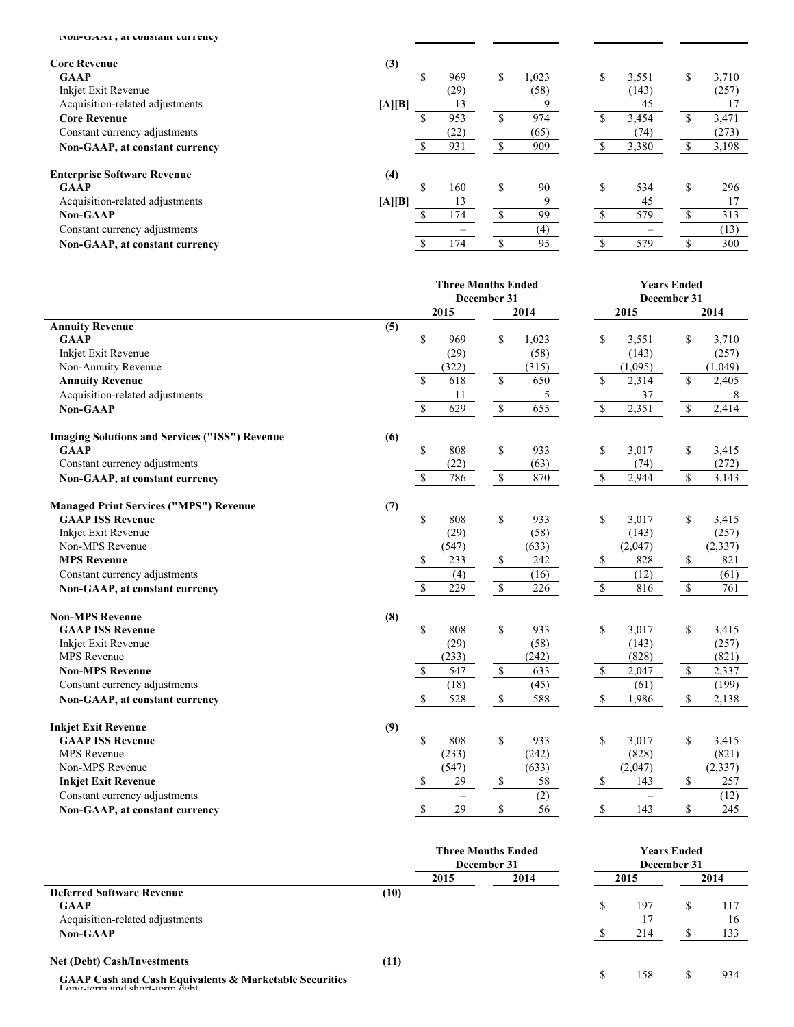**Non-GAAP, at constant currency**

| <b>Core Revenue</b>                | (3)    |    |      |             |   |       |     |       |
|------------------------------------|--------|----|------|-------------|---|-------|-----|-------|
| <b>GAAP</b>                        |        | Ф  | 969  | \$<br>1,023 | S | 3,551 | \$  | 3,710 |
| Inkjet Exit Revenue                |        |    | (29) | (58)        |   | (143) |     | (257) |
| Acquisition-related adjustments    | [A][B] |    | 13   |             |   | 45    |     |       |
| <b>Core Revenue</b>                |        |    | 953  | \$<br>974   |   | 3,454 | S   | 3,471 |
| Constant currency adjustments      |        |    | (22) | (65)        |   | (74)  |     | (273) |
| Non-GAAP, at constant currency     |        |    | 931  | 909         |   | 3,380 | ъ   | 3,198 |
| <b>Enterprise Software Revenue</b> | (4)    |    |      |             |   |       |     |       |
| <b>GAAP</b>                        |        | ה. | 160  | \$<br>90    | ¢ | 534   | \$  | 296   |
| Acquisition-related adjustments    | [A][B] |    | 13   | 9           |   | 45    |     |       |
| Non-GAAP                           |        |    | 174  | \$<br>99    |   | 579   | \$. | 313   |
| Constant currency adjustments      |        |    |      | (4)         |   |       |     | (13)  |
| Non-GAAP, at constant currency     |        |    | 174  | \$<br>95    |   | 579   | S   | 300   |

|                                                       |     | <b>Three Months Ended</b> |                          |                          |       | <b>Years Ended</b>                |                          |                          |          |  |
|-------------------------------------------------------|-----|---------------------------|--------------------------|--------------------------|-------|-----------------------------------|--------------------------|--------------------------|----------|--|
|                                                       |     |                           |                          | December 31              |       |                                   |                          | December 31              |          |  |
|                                                       |     |                           | 2015                     |                          | 2014  |                                   | 2015                     |                          | 2014     |  |
| <b>Annuity Revenue</b>                                | (5) |                           |                          |                          |       |                                   |                          |                          |          |  |
| <b>GAAP</b>                                           |     | \$                        | 969                      | \$                       | 1,023 | \$                                | 3,551                    | \$                       | 3,710    |  |
| Inkjet Exit Revenue                                   |     |                           | (29)                     |                          | (58)  |                                   | (143)                    |                          | (257)    |  |
| Non-Annuity Revenue                                   |     |                           | (322)                    |                          | (315) |                                   | (1,095)                  |                          | (1,049)  |  |
| <b>Annuity Revenue</b>                                |     | $\mathbb{S}$              | 618                      | $\mathbb{S}$             | 650   | $\mathbb{S}% _{t}\left( t\right)$ | 2,314                    | $\mathbf{\$\}$           | 2,405    |  |
| Acquisition-related adjustments                       |     |                           | 11                       |                          | 5     |                                   | 37                       |                          | 8        |  |
| <b>Non-GAAP</b>                                       |     | ${\mathbb S}$             | 629                      | ${\mathbb S}$            | 655   | ${\mathbb S}$                     | 2,351                    | ${\mathbb S}$            | 2,414    |  |
| <b>Imaging Solutions and Services ("ISS") Revenue</b> | (6) |                           |                          |                          |       |                                   |                          |                          |          |  |
| <b>GAAP</b>                                           |     | \$                        | 808                      | \$                       | 933   | \$                                | 3,017                    | \$                       | 3,415    |  |
| Constant currency adjustments                         |     |                           | (22)                     |                          | (63)  |                                   | (74)                     |                          | (272)    |  |
| Non-GAAP, at constant currency                        |     | $\mathbb{S}$              | 786                      | $\overline{\mathcal{S}}$ | 870   | $\mathbb{S}$                      | 2,944                    | $\mathbb S$              | 3,143    |  |
| <b>Managed Print Services ("MPS") Revenue</b>         | (7) |                           |                          |                          |       |                                   |                          |                          |          |  |
| <b>GAAP ISS Revenue</b>                               |     | \$                        | 808                      | \$                       | 933   | $\mathbf S$                       | 3,017                    | \$                       | 3,415    |  |
| <b>Inkjet Exit Revenue</b>                            |     |                           | (29)                     |                          | (58)  |                                   | (143)                    |                          | (257)    |  |
| Non-MPS Revenue                                       |     |                           | (547)                    |                          | (633) |                                   | (2,047)                  |                          | (2, 337) |  |
| <b>MPS Revenue</b>                                    |     | $\mathbb{S}$              | 233                      | $\sqrt{\ }$              | 242   | $\$$                              | 828                      | $\mathcal{S}$            | 821      |  |
| Constant currency adjustments                         |     |                           | (4)                      |                          | (16)  |                                   | (12)                     |                          | (61)     |  |
| Non-GAAP, at constant currency                        |     | $\sqrt{3}$                | 229                      | $\sqrt{S}$               | 226   | $\sqrt{s}$                        | 816                      | $\sqrt{s}$               | 761      |  |
| <b>Non-MPS Revenue</b>                                | (8) |                           |                          |                          |       |                                   |                          |                          |          |  |
| <b>GAAP ISS Revenue</b>                               |     | \$                        | 808                      | \$                       | 933   | \$                                | 3,017                    | \$                       | 3,415    |  |
| <b>Inkjet Exit Revenue</b>                            |     |                           | (29)                     |                          | (58)  |                                   | (143)                    |                          | (257)    |  |
| <b>MPS</b> Revenue                                    |     |                           | (233)                    |                          | (242) |                                   | (828)                    |                          | (821)    |  |
| <b>Non-MPS Revenue</b>                                |     | \$                        | 547                      | $\mathbb{S}$             | 633   | \$                                | 2,047                    | \$                       | 2,337    |  |
| Constant currency adjustments                         |     |                           | (18)                     |                          | (45)  |                                   | (61)                     |                          | (199)    |  |
| Non-GAAP, at constant currency                        |     | $\sqrt{S}$                | 528                      | $\sqrt{S}$               | 588   | $\sqrt{3}$                        | 1,986                    | $\sqrt{3}$               | 2,138    |  |
| <b>Inkjet Exit Revenue</b>                            | (9) |                           |                          |                          |       |                                   |                          |                          |          |  |
| <b>GAAP ISS Revenue</b>                               |     | \$                        | 808                      | \$                       | 933   | \$                                | 3,017                    | \$                       | 3,415    |  |
| <b>MPS</b> Revenue                                    |     |                           | (233)                    |                          | (242) |                                   | (828)                    |                          | (821)    |  |
| Non-MPS Revenue                                       |     |                           | (547)                    |                          | (633) |                                   | (2,047)                  |                          | (2, 337) |  |
| <b>Inkjet Exit Revenue</b>                            |     | \$                        | 29                       | $\mathcal{S}$            | 58    | \$                                | 143                      | $\mathbb S$              | 257      |  |
| Constant currency adjustments                         |     |                           | $\overline{\phantom{m}}$ |                          | (2)   |                                   | $\overline{\phantom{m}}$ |                          | (12)     |  |
| Non-GAAP, at constant currency                        |     | $\overline{\mathcal{S}}$  | 29                       | $\overline{\mathcal{S}}$ | 56    | $\overline{\mathcal{S}}$          | $\overline{143}$         | $\overline{\mathcal{S}}$ | 245      |  |

|                                    |      | <b>Three Months Ended</b><br>December 31 |        |                      | <b>Years Ended</b><br>December 31 |                      |  |
|------------------------------------|------|------------------------------------------|--------|----------------------|-----------------------------------|----------------------|--|
|                                    | 2015 | 2014                                     |        | 2015                 |                                   | 2014                 |  |
| <b>Deferred Software Revenue</b>   | (10) |                                          |        |                      |                                   |                      |  |
| <b>GAAP</b>                        |      |                                          |        | 197                  | S                                 | 117                  |  |
| Acquisition-related adjustments    |      |                                          |        | 17                   |                                   | 16                   |  |
| <b>Non-GAAP</b>                    |      |                                          |        | 214                  |                                   | 133                  |  |
| <b>Net (Debt) Cash/Investments</b> | (11) |                                          | $\sim$ | $\sim$ $\sim$ $\sim$ | $\sim$                            | $\sim$ $\sim$ $\sim$ |  |

**GAAP Cash and Cash Equivalents & Marketable Securities** \$ <sup>158</sup> \$ <sup>934</sup> Long-term and short-term debt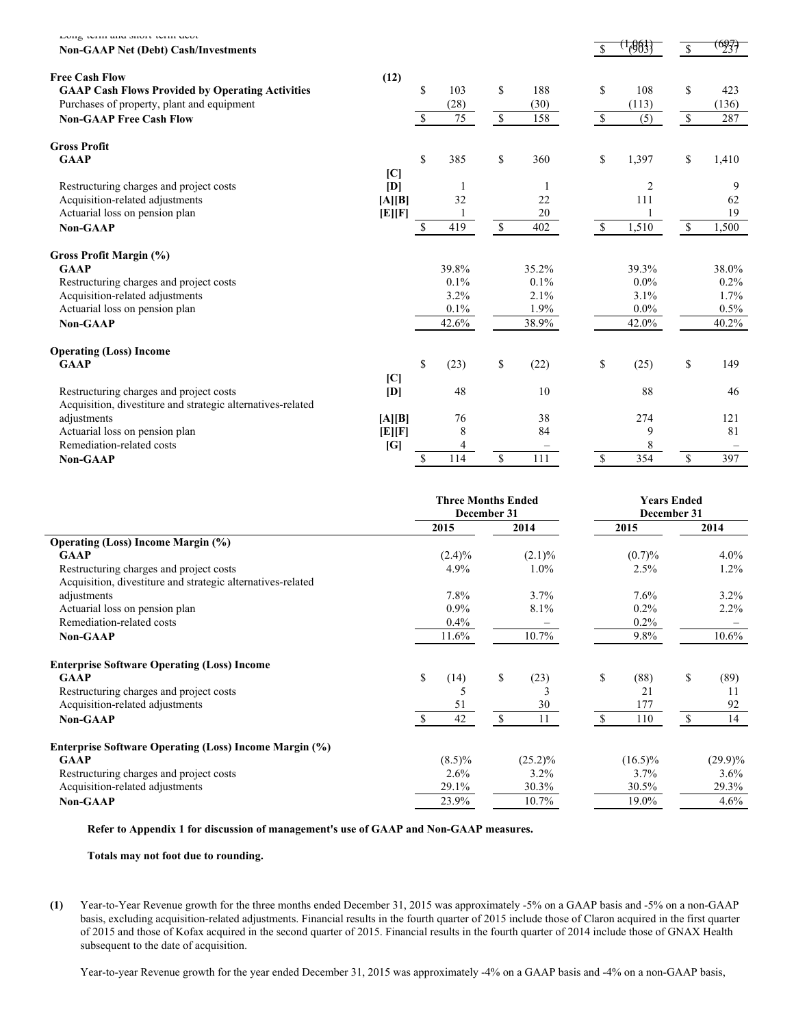| Long-term and snort-term debt<br><b>Non-GAAP Net (Debt) Cash/Investments</b>                                                                                     |                                |                    |                           |                    |                      |                   | 683                 | \$                 | (697)                  |
|------------------------------------------------------------------------------------------------------------------------------------------------------------------|--------------------------------|--------------------|---------------------------|--------------------|----------------------|-------------------|---------------------|--------------------|------------------------|
| <b>Free Cash Flow</b><br><b>GAAP Cash Flows Provided by Operating Activities</b><br>Purchases of property, plant and equipment<br><b>Non-GAAP Free Cash Flow</b> | (12)                           | \$<br>$\mathbb{S}$ | 103<br>(28)<br>75         | \$<br>$\mathbb{S}$ | 188<br>(30)<br>158   | \$<br>$\mathbb S$ | 108<br>(113)<br>(5) | \$<br>$\mathbb{S}$ | 423<br>(136)<br>287    |
| <b>Gross Profit</b><br><b>GAAP</b>                                                                                                                               |                                | $\mathbf S$        | 385                       | $\mathbb S$        | 360                  | \$                | 1,397               | $\mathbb S$        | 1,410                  |
| Restructuring charges and project costs<br>Acquisition-related adjustments<br>Actuarial loss on pension plan<br><b>Non-GAAP</b>                                  | [C]<br>[D]<br>[A][B]<br>[E][F] | \$                 | $\mathbf{1}$<br>32<br>419 | $\mathbb{S}$       | 1<br>22<br>20<br>402 | \$                | 2<br>111<br>1,510   | $\$$               | 9<br>62<br>19<br>1,500 |
| Gross Profit Margin (%)                                                                                                                                          |                                |                    |                           |                    |                      |                   |                     |                    |                        |
| <b>GAAP</b>                                                                                                                                                      |                                |                    | 39.8%                     |                    | 35.2%                |                   | 39.3%               |                    | 38.0%                  |
| Restructuring charges and project costs                                                                                                                          |                                |                    | 0.1%                      |                    | $0.1\%$              |                   | $0.0\%$             |                    | $0.2\%$                |
| Acquisition-related adjustments                                                                                                                                  |                                |                    | 3.2%                      |                    | 2.1%                 |                   | 3.1%                |                    | $1.7\%$                |
| Actuarial loss on pension plan                                                                                                                                   |                                |                    | 0.1%                      |                    | 1.9%                 |                   | $0.0\%$             |                    | 0.5%                   |
| <b>Non-GAAP</b>                                                                                                                                                  |                                |                    | 42.6%                     |                    | 38.9%                |                   | 42.0%               |                    | 40.2%                  |
| <b>Operating (Loss) Income</b>                                                                                                                                   |                                |                    |                           |                    |                      |                   |                     |                    |                        |
| <b>GAAP</b>                                                                                                                                                      |                                | S.                 | (23)                      | \$                 | (22)                 | \$                | (25)                | $\mathbb S$        | 149                    |
| Restructuring charges and project costs                                                                                                                          | [C]<br>[D]                     |                    | 48                        |                    | 10                   |                   | 88                  |                    | 46                     |
| Acquisition, divestiture and strategic alternatives-related<br>adjustments                                                                                       | [A][B]                         |                    | 76                        |                    | 38                   |                   | 274                 |                    | 121                    |
| Actuarial loss on pension plan                                                                                                                                   | E[ F]                          |                    | 8                         |                    | 84                   |                   | 9                   |                    | 81                     |
| Remediation-related costs                                                                                                                                        | [G]                            |                    | 4                         |                    |                      |                   | 8                   |                    |                        |
| <b>Non-GAAP</b>                                                                                                                                                  |                                | S.                 | 114                       | \$                 | 111                  | $\mathbf S$       | 354                 | $\mathbf S$        | 397                    |
|                                                                                                                                                                  |                                |                    |                           |                    |                      |                   |                     |                    |                        |

|                                                               | December 31 | <b>Three Months Ended</b> | <b>Years Ended</b><br>December 31 |            |  |  |  |
|---------------------------------------------------------------|-------------|---------------------------|-----------------------------------|------------|--|--|--|
|                                                               | 2015        | 2014                      | 2015                              | 2014       |  |  |  |
| <b>Operating (Loss) Income Margin (%)</b>                     |             |                           |                                   |            |  |  |  |
| <b>GAAP</b>                                                   | $(2.4)\%$   | $(2.1)\%$                 | (0.7)%                            | $4.0\%$    |  |  |  |
| Restructuring charges and project costs                       | 4.9%        | $1.0\%$                   | 2.5%                              | $1.2\%$    |  |  |  |
| Acquisition, divestiture and strategic alternatives-related   |             |                           |                                   |            |  |  |  |
| adjustments                                                   | 7.8%        | 3.7%                      | $7.6\%$                           | $3.2\%$    |  |  |  |
| Actuarial loss on pension plan                                | $0.9\%$     | 8.1%                      | $0.2\%$                           | $2.2\%$    |  |  |  |
| Remediation-related costs                                     | 0.4%        |                           | $0.2\%$                           |            |  |  |  |
| <b>Non-GAAP</b>                                               | 11.6%       | 10.7%                     | 9.8%                              | $10.6\%$   |  |  |  |
| <b>Enterprise Software Operating (Loss) Income</b>            |             |                           |                                   |            |  |  |  |
| <b>GAAP</b>                                                   | \$<br>(14)  | \$<br>(23)                | \$<br>(88)                        | \$<br>(89) |  |  |  |
| Restructuring charges and project costs                       |             | 3                         | 21                                | 11         |  |  |  |
| Acquisition-related adjustments                               | 51          | 30                        | 177                               | 92         |  |  |  |
| <b>Non-GAAP</b>                                               | 42          | \$<br>11                  | 110                               | \$<br>14   |  |  |  |
| <b>Enterprise Software Operating (Loss) Income Margin (%)</b> |             |                           |                                   |            |  |  |  |
| <b>GAAP</b>                                                   | $(8.5)\%$   | $(25.2)\%$                | $(16.5)\%$                        | $(29.9)\%$ |  |  |  |
| Restructuring charges and project costs                       | 2.6%        | $3.2\%$                   | 3.7%                              | $3.6\%$    |  |  |  |
| Acquisition-related adjustments                               | 29.1%       | 30.3%                     | 30.5%                             | 29.3%      |  |  |  |
| <b>Non-GAAP</b>                                               | 23.9%       | $10.7\%$                  | 19.0%                             | $4.6\%$    |  |  |  |

**Refer to Appendix 1 for discussion of management's use of GAAP and Non-GAAP measures.**

**Totals may not foot due to rounding.**

**(1)** Year-to-Year Revenue growth for the three months ended December 31, 2015 was approximately -5% on a GAAP basis and -5% on a non-GAAP basis, excluding acquisition-related adjustments. Financial results in the fourth quarter of 2015 include those of Claron acquired in the first quarter of 2015 and those of Kofax acquired in the second quarter of 2015. Financial results in the fourth quarter of 2014 include those of GNAX Health subsequent to the date of acquisition.

Year-to-year Revenue growth for the year ended December 31, 2015 was approximately -4% on a GAAP basis and -4% on a non-GAAP basis,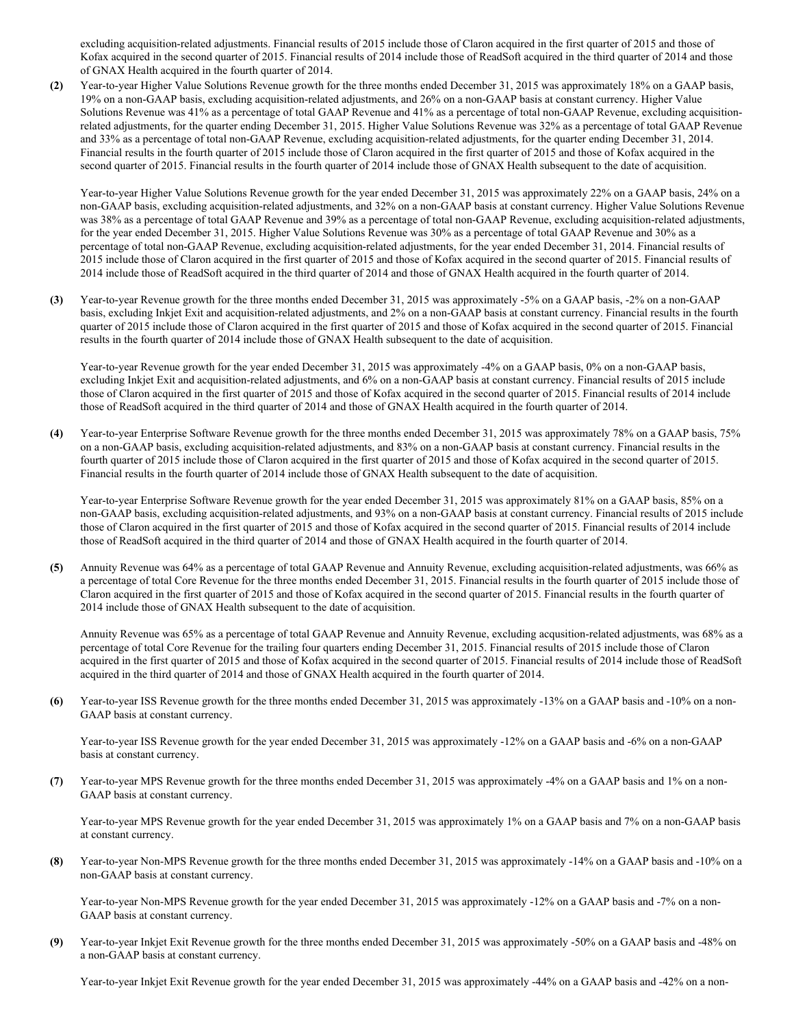excluding acquisition-related adjustments. Financial results of 2015 include those of Claron acquired in the first quarter of 2015 and those of Kofax acquired in the second quarter of 2015. Financial results of 2014 include those of ReadSoft acquired in the third quarter of 2014 and those of GNAX Health acquired in the fourth quarter of 2014.

**(2)** Year-to-year Higher Value Solutions Revenue growth for the three months ended December 31, 2015 was approximately 18% on a GAAP basis, 19% on a non-GAAP basis, excluding acquisition-related adjustments, and 26% on a non-GAAP basis at constant currency. Higher Value Solutions Revenue was 41% as a percentage of total GAAP Revenue and 41% as a percentage of total non-GAAP Revenue, excluding acquisitionrelated adjustments, for the quarter ending December 31, 2015. Higher Value Solutions Revenue was 32% as a percentage of total GAAP Revenue and 33% as a percentage of total non-GAAP Revenue, excluding acquisition-related adjustments, for the quarter ending December 31, 2014. Financial results in the fourth quarter of 2015 include those of Claron acquired in the first quarter of 2015 and those of Kofax acquired in the second quarter of 2015. Financial results in the fourth quarter of 2014 include those of GNAX Health subsequent to the date of acquisition.

Year-to-year Higher Value Solutions Revenue growth for the year ended December 31, 2015 was approximately 22% on a GAAP basis, 24% on a non-GAAP basis, excluding acquisition-related adjustments, and 32% on a non-GAAP basis at constant currency. Higher Value Solutions Revenue was 38% as a percentage of total GAAP Revenue and 39% as a percentage of total non-GAAP Revenue, excluding acquisition-related adjustments, for the year ended December 31, 2015. Higher Value Solutions Revenue was 30% as a percentage of total GAAP Revenue and 30% as a percentage of total non-GAAP Revenue, excluding acquisition-related adjustments, for the year ended December 31, 2014. Financial results of 2015 include those of Claron acquired in the first quarter of 2015 and those of Kofax acquired in the second quarter of 2015. Financial results of 2014 include those of ReadSoft acquired in the third quarter of 2014 and those of GNAX Health acquired in the fourth quarter of 2014.

**(3)** Year-to-year Revenue growth for the three months ended December 31, 2015 was approximately -5% on a GAAP basis, -2% on a non-GAAP basis, excluding Inkjet Exit and acquisition-related adjustments, and 2% on a non-GAAP basis at constant currency. Financial results in the fourth quarter of 2015 include those of Claron acquired in the first quarter of 2015 and those of Kofax acquired in the second quarter of 2015. Financial results in the fourth quarter of 2014 include those of GNAX Health subsequent to the date of acquisition.

Year-to-year Revenue growth for the year ended December 31, 2015 was approximately -4% on a GAAP basis, 0% on a non-GAAP basis, excluding Inkjet Exit and acquisition-related adjustments, and 6% on a non-GAAP basis at constant currency. Financial results of 2015 include those of Claron acquired in the first quarter of 2015 and those of Kofax acquired in the second quarter of 2015. Financial results of 2014 include those of ReadSoft acquired in the third quarter of 2014 and those of GNAX Health acquired in the fourth quarter of 2014.

**(4)** Year-to-year Enterprise Software Revenue growth for the three months ended December 31, 2015 was approximately 78% on a GAAP basis, 75% on a non-GAAP basis, excluding acquisition-related adjustments, and 83% on a non-GAAP basis at constant currency. Financial results in the fourth quarter of 2015 include those of Claron acquired in the first quarter of 2015 and those of Kofax acquired in the second quarter of 2015. Financial results in the fourth quarter of 2014 include those of GNAX Health subsequent to the date of acquisition.

Year-to-year Enterprise Software Revenue growth for the year ended December 31, 2015 was approximately 81% on a GAAP basis, 85% on a non-GAAP basis, excluding acquisition-related adjustments, and 93% on a non-GAAP basis at constant currency. Financial results of 2015 include those of Claron acquired in the first quarter of 2015 and those of Kofax acquired in the second quarter of 2015. Financial results of 2014 include those of ReadSoft acquired in the third quarter of 2014 and those of GNAX Health acquired in the fourth quarter of 2014.

**(5)** Annuity Revenue was 64% as a percentage of total GAAP Revenue and Annuity Revenue, excluding acquisition-related adjustments, was 66% as a percentage of total Core Revenue for the three months ended December 31, 2015. Financial results in the fourth quarter of 2015 include those of Claron acquired in the first quarter of 2015 and those of Kofax acquired in the second quarter of 2015. Financial results in the fourth quarter of 2014 include those of GNAX Health subsequent to the date of acquisition.

Annuity Revenue was 65% as a percentage of total GAAP Revenue and Annuity Revenue, excluding acqusition-related adjustments, was 68% as a percentage of total Core Revenue for the trailing four quarters ending December 31, 2015. Financial results of 2015 include those of Claron acquired in the first quarter of 2015 and those of Kofax acquired in the second quarter of 2015. Financial results of 2014 include those of ReadSoft acquired in the third quarter of 2014 and those of GNAX Health acquired in the fourth quarter of 2014.

**(6)** Year-to-year ISS Revenue growth for the three months ended December 31, 2015 was approximately -13% on a GAAP basis and -10% on a non-GAAP basis at constant currency.

Year-to-year ISS Revenue growth for the year ended December 31, 2015 was approximately -12% on a GAAP basis and -6% on a non-GAAP basis at constant currency.

**(7)** Year-to-year MPS Revenue growth for the three months ended December 31, 2015 was approximately -4% on a GAAP basis and 1% on a non-GAAP basis at constant currency.

Year-to-year MPS Revenue growth for the year ended December 31, 2015 was approximately 1% on a GAAP basis and 7% on a non-GAAP basis at constant currency.

**(8)** Year-to-year Non-MPS Revenue growth for the three months ended December 31, 2015 was approximately -14% on a GAAP basis and -10% on a non-GAAP basis at constant currency.

Year-to-year Non-MPS Revenue growth for the year ended December 31, 2015 was approximately -12% on a GAAP basis and -7% on a non-GAAP basis at constant currency.

**(9)** Year-to-year Inkjet Exit Revenue growth for the three months ended December 31, 2015 was approximately -50% on a GAAP basis and -48% on a non-GAAP basis at constant currency.

Year-to-year Inkjet Exit Revenue growth for the year ended December 31, 2015 was approximately -44% on a GAAP basis and -42% on a non-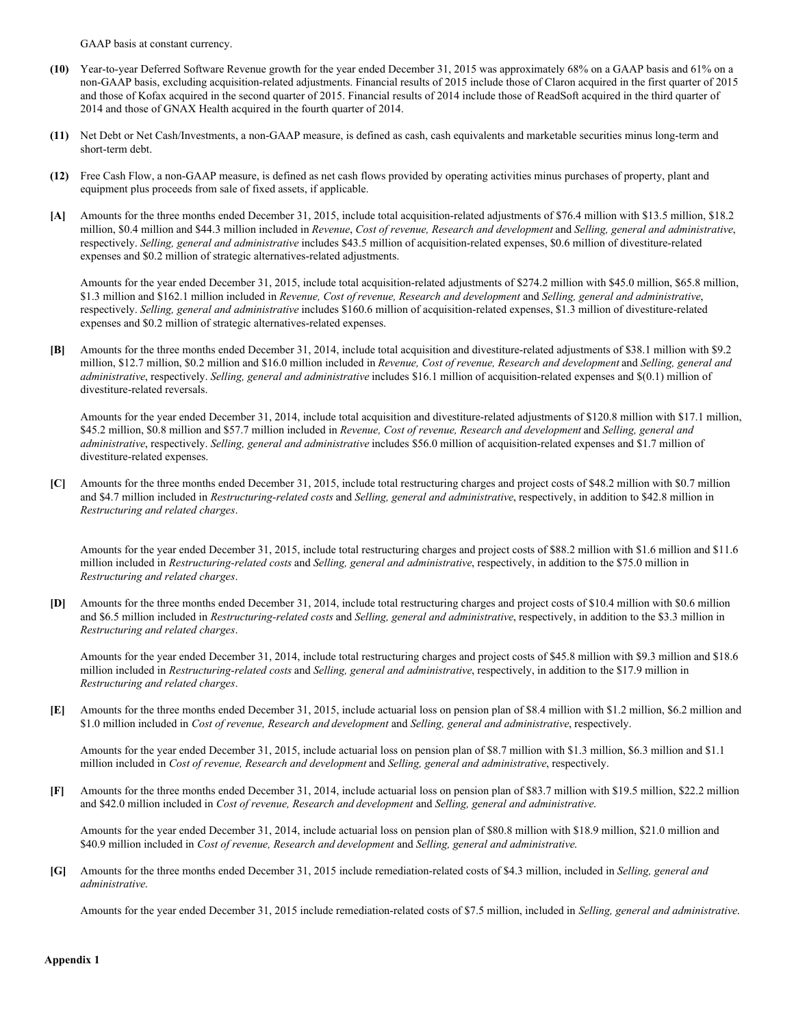GAAP basis at constant currency.

- **(10)** Year-to-year Deferred Software Revenue growth for the year ended December 31, 2015 was approximately 68% on a GAAP basis and 61% on a non-GAAP basis, excluding acquisition-related adjustments. Financial results of 2015 include those of Claron acquired in the first quarter of 2015 and those of Kofax acquired in the second quarter of 2015. Financial results of 2014 include those of ReadSoft acquired in the third quarter of 2014 and those of GNAX Health acquired in the fourth quarter of 2014.
- **(11)** Net Debt or Net Cash/Investments, a non-GAAP measure, is defined as cash, cash equivalents and marketable securities minus long-term and short-term debt.
- **(12)** Free Cash Flow, a non-GAAP measure, is defined as net cash flows provided by operating activities minus purchases of property, plant and equipment plus proceeds from sale of fixed assets, if applicable.
- **[A]** Amounts for the three months ended December 31, 2015, include total acquisition-related adjustments of \$76.4 million with \$13.5 million, \$18.2 million, \$0.4 million and \$44.3 million included in *Revenue*, *Cost of revenue, Research and development* and *Selling, general and administrative*, respectively. *Selling, general and administrative* includes \$43.5 million of acquisition-related expenses, \$0.6 million of divestiture-related expenses and \$0.2 million of strategic alternatives-related adjustments.

Amounts for the year ended December 31, 2015, include total acquisition-related adjustments of \$274.2 million with \$45.0 million, \$65.8 million, \$1.3 million and \$162.1 million included in *Revenue, Cost of revenue, Research and development* and *Selling, general and administrative*, respectively. *Selling, general and administrative* includes \$160.6 million of acquisition-related expenses, \$1.3 million of divestiture-related expenses and \$0.2 million of strategic alternatives-related expenses.

**[B]** Amounts for the three months ended December 31, 2014, include total acquisition and divestiture-related adjustments of \$38.1 million with \$9.2 million, \$12.7 million, \$0.2 million and \$16.0 million included in *Revenue, Cost of revenue, Research and development* and *Selling, general and administrative*, respectively. *Selling, general and administrative* includes \$16.1 million of acquisition-related expenses and \$(0.1) million of divestiture-related reversals.

Amounts for the year ended December 31, 2014, include total acquisition and divestiture-related adjustments of \$120.8 million with \$17.1 million, \$45.2 million, \$0.8 million and \$57.7 million included in *Revenue, Cost of revenue, Research and development* and *Selling, general and administrative*, respectively. *Selling, general and administrative* includes \$56.0 million of acquisition-related expenses and \$1.7 million of divestiture-related expenses.

**[C]** Amounts for the three months ended December 31, 2015, include total restructuring charges and project costs of \$48.2 million with \$0.7 million and \$4.7 million included in *Restructuring-related costs* and *Selling, general and administrative*, respectively, in addition to \$42.8 million in *Restructuring and related charges*.

Amounts for the year ended December 31, 2015, include total restructuring charges and project costs of \$88.2 million with \$1.6 million and \$11.6 million included in *Restructuring-related costs* and *Selling, general and administrative*, respectively, in addition to the \$75.0 million in *Restructuring and related charges*.

**[D]** Amounts for the three months ended December 31, 2014, include total restructuring charges and project costs of \$10.4 million with \$0.6 million and \$6.5 million included in *Restructuring-related costs* and *Selling, general and administrative*, respectively, in addition to the \$3.3 million in *Restructuring and related charges*.

Amounts for the year ended December 31, 2014, include total restructuring charges and project costs of \$45.8 million with \$9.3 million and \$18.6 million included in *Restructuring-related costs* and *Selling, general and administrative*, respectively, in addition to the \$17.9 million in *Restructuring and related charges*.

**[E]** Amounts for the three months ended December 31, 2015, include actuarial loss on pension plan of \$8.4 million with \$1.2 million, \$6.2 million and \$1.0 million included in *Cost of revenue, Research and development* and *Selling, general and administrative*, respectively.

Amounts for the year ended December 31, 2015, include actuarial loss on pension plan of \$8.7 million with \$1.3 million, \$6.3 million and \$1.1 million included in *Cost of revenue, Research and development* and *Selling, general and administrative*, respectively.

**[F]** Amounts for the three months ended December 31, 2014, include actuarial loss on pension plan of \$83.7 million with \$19.5 million, \$22.2 million and \$42.0 million included in *Cost of revenue, Research and development* and *Selling, general and administrative*.

Amounts for the year ended December 31, 2014, include actuarial loss on pension plan of \$80.8 million with \$18.9 million, \$21.0 million and \$40.9 million included in *Cost of revenue, Research and development* and *Selling, general and administrative*.

**[G]** Amounts for the three months ended December 31, 2015 include remediation-related costs of \$4.3 million, included in *Selling, general and administrative*.

Amounts for the year ended December 31, 2015 include remediation-related costs of \$7.5 million, included in *Selling, general and administrative*.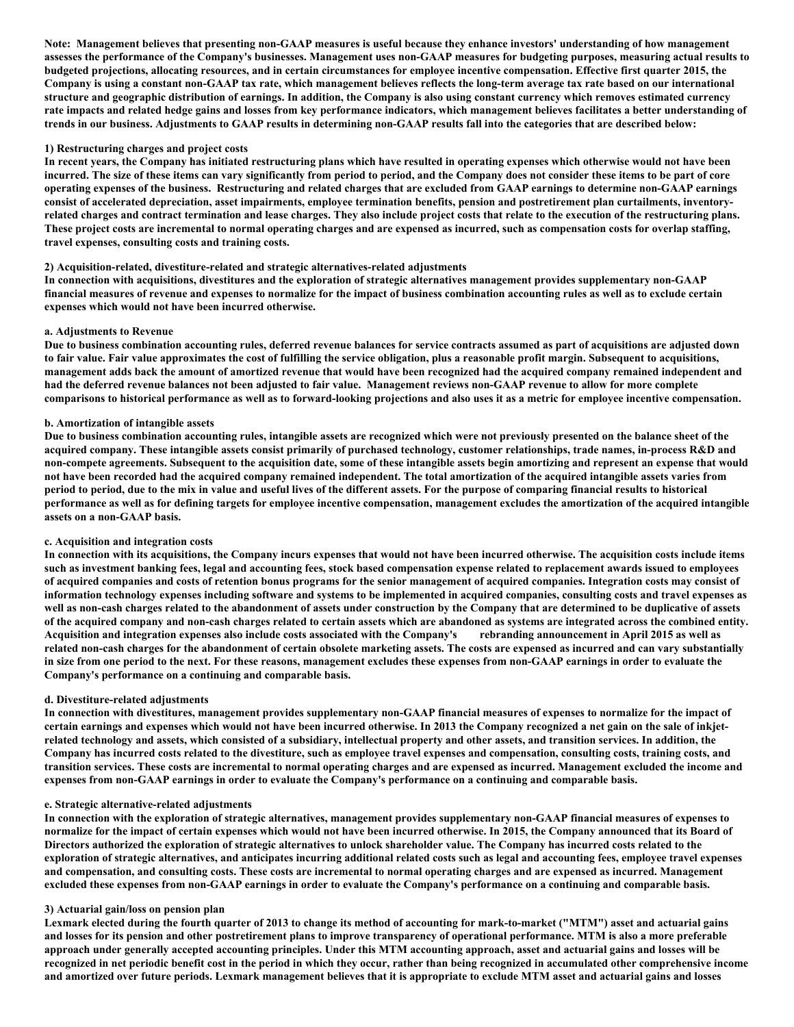Note: Management believes that presenting non-GAAP measures is useful because they enhance investors' understanding of how management assesses the performance of the Company's businesses. Management uses non-GAAP measures for budgeting purposes, measuring actual results to budgeted projections, allocating resources, and in certain circumstances for employee incentive compensation. Effective first quarter 2015, the Company is using a constant non-GAAP tax rate, which management believes reflects the long-term average tax rate based on our international structure and geographic distribution of earnings. In addition, the Company is also using constant currency which removes estimated currency rate impacts and related hedge gains and losses from key performance indicators, which management believes facilitates a better understanding of trends in our business. Adjustments to GAAP results in determining non-GAAP results fall into the categories that are described below:

# **1) Restructuring charges and project costs**

In recent vears, the Company has initiated restructuring plans which have resulted in operating expenses which otherwise would not have been incurred. The size of these items can vary significantly from period to period, and the Company does not consider these items to be part of core operating expenses of the business. Restructuring and related charges that are excluded from GAAP earnings to determine non-GAAP earnings consist of accelerated depreciation, asset impairments, emplovee termination benefits, pension and postretirement plan curtailments, inventoryrelated charges and contract termination and lease charges. They also include project costs that relate to the execution of the restructuring plans. These project costs are incremental to normal operating charges and are expensed as incurred, such as compensation costs for overlap staffing, **travel expenses, consulting costs and training costs.**

### **2) Acquisition-related, divestiture-related and strategic alternatives-related adjustments**

In connection with acquisitions, divestitures and the exploration of strategic alternatives management provides supplementary non-GAAP financial measures of revenue and expenses to normalize for the impact of business combination accounting rules as well as to exclude certain **expenses which would not have been incurred otherwise.**

## **a. Adjustments to Revenue**

Due to business combination accounting rules, deferred revenue balances for service contracts assumed as part of acquisitions are adjusted down to fair value. Fair value approximates the cost of fulfilling the service obligation, plus a reasonable profit margin. Subsequent to acquisitions, management adds back the amount of amortized revenue that would have been recognized had the acquired company remained independent and had the deferred revenue balances not been adjusted to fair value. Management reviews non-GAAP revenue to allow for more complete comparisons to historical performance as well as to forward-looking projections and also uses it as a metric for employee incentive compensation.

## **b. Amortization of intangible assets**

Due to business combination accounting rules, intangible assets are recognized which were not previously presented on the balance sheet of the acquired company. These intangible assets consist primarily of purchased technology, customer relationships, trade names, in-process R&D and non-compete agreements. Subsequent to the acquisition date, some of these intangible assets begin amortizing and represent an expense that would not have been recorded had the acquired company remained independent. The total amortization of the acquired intangible assets varies from period to period, due to the mix in value and useful lives of the different assets. For the purpose of comparing financial results to historical performance as well as for defining targets for employee incentive compensation, management excludes the amortization of the acquired intangible **assets on a non-GAAP basis.**

## **c. Acquisition and integration costs**

In connection with its acquisitions, the Company incurs expenses that would not have been incurred otherwise. The acquisition costs include items such as investment banking fees, legal and accounting fees, stock based compensation expense related to replacement awards issued to employees of acquired companies and costs of retention bonus programs for the senior management of acquired companies. Integration costs may consist of information technology expenses including software and systems to be implemented in acquired companies, consulting costs and travel expenses as well as non-cash charges related to the abandonment of assets under construction by the Company that are determined to be duplicative of assets of the acquired company and non-cash charges related to certain assets which are abandoned as systems are integrated across the combined entity.<br>Acquisition and integration expenses also include costs associated with the C Acquisition and integration expenses also include costs associated with the Company's related non-cash charges for the abandonment of certain obsolete marketing assets. The costs are expensed as incurred and can vary substantially in size from one period to the next. For these reasons, management excludes these expenses from non-GAAP earnings in order to evaluate the **Company's performance on a continuing and comparable basis.**

### **d. Divestiture-related adjustments**

In connection with divestitures, management provides supplementary non-GAAP financial measures of expenses to normalize for the impact of certain earnings and expenses which would not have been incurred otherwise. In 2013 the Company recognized a net gain on the sale of inkjetrelated technology and assets, which consisted of a subsidiary, intellectual property and other assets, and transition services. In addition, the Company has incurred costs related to the divestiture, such as employee travel expenses and compensation, consulting costs, training costs, and transition services. These costs are incremental to normal operating charges and are expensed as incurred. Management excluded the income and expenses from non-GAAP earnings in order to evaluate the Company's performance on a continuing and comparable basis.

## **e. Strategic alternative-related adjustments**

In connection with the exploration of strategic alternatives, management provides supplementary non-GAAP financial measures of expenses to normalize for the impact of certain expenses which would not have been incurred otherwise. In 2015, the Company announced that its Board of Directors authorized the exploration of strategic alternatives to unlock shareholder value. The Company has incurred costs related to the exploration of strategic alternatives, and anticipates incurring additional related costs such as legal and accounting fees, employee travel expenses and compensation, and consulting costs. These costs are incremental to normal operating charges and are expensed as incurred. Management excluded these expenses from non-GAAP earnings in order to evaluate the Company's performance on a continuing and comparable basis.

### **3) Actuarial gain/loss on pension plan**

Lexmark elected during the fourth quarter of 2013 to change its method of accounting for mark-to-market ("MTM") asset and actuarial gains and losses for its pension and other postretirement plans to improve transparency of operational performance. MTM is also a more preferable approach under generally accepted accounting principles. Under this MTM accounting approach, asset and actuarial gains and losses will be recognized in net periodic benefit cost in the period in which they occur, rather than being recognized in accumulated other comprehensive income and amortized over future periods. Lexmark management believes that it is appropriate to exclude MTM asset and actuarial gains and losses